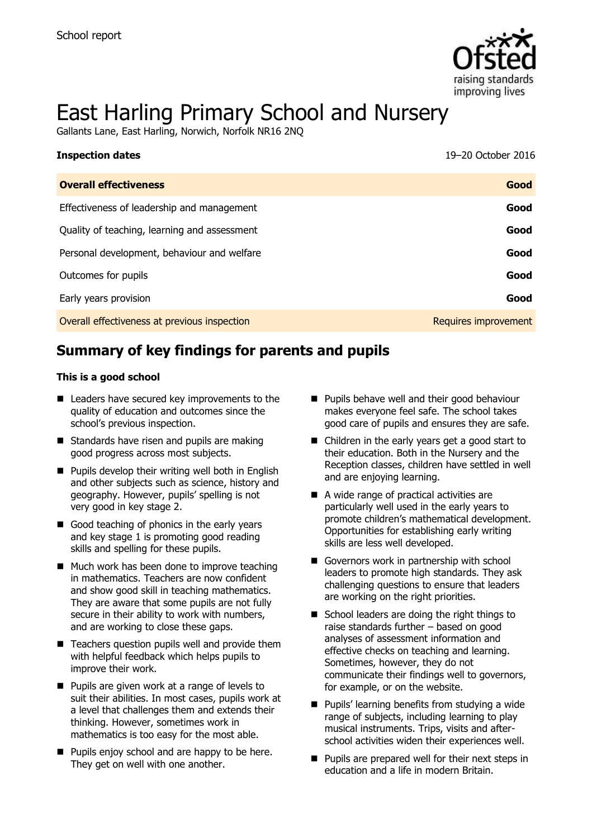

# East Harling Primary School and Nursery

Gallants Lane, East Harling, Norwich, Norfolk NR16 2NQ

| <b>Inspection dates</b>                      | 19-20 October 2016   |
|----------------------------------------------|----------------------|
| <b>Overall effectiveness</b>                 | Good                 |
| Effectiveness of leadership and management   | Good                 |
| Quality of teaching, learning and assessment | Good                 |
| Personal development, behaviour and welfare  | Good                 |
| Outcomes for pupils                          | Good                 |
| Early years provision                        | Good                 |
| Overall effectiveness at previous inspection | Requires improvement |

# **Summary of key findings for parents and pupils**

#### **This is a good school**

- Leaders have secured key improvements to the quality of education and outcomes since the school's previous inspection.
- Standards have risen and pupils are making good progress across most subjects.
- **Pupils develop their writing well both in English** and other subjects such as science, history and geography. However, pupils' spelling is not very good in key stage 2.
- Good teaching of phonics in the early years and key stage 1 is promoting good reading skills and spelling for these pupils.
- Much work has been done to improve teaching in mathematics. Teachers are now confident and show good skill in teaching mathematics. They are aware that some pupils are not fully secure in their ability to work with numbers, and are working to close these gaps.
- $\blacksquare$  Teachers question pupils well and provide them with helpful feedback which helps pupils to improve their work.
- Pupils are given work at a range of levels to suit their abilities. In most cases, pupils work at a level that challenges them and extends their thinking. However, sometimes work in mathematics is too easy for the most able.
- **Pupils enjoy school and are happy to be here.** They get on well with one another.
- **Pupils behave well and their good behaviour** makes everyone feel safe. The school takes good care of pupils and ensures they are safe.
- Children in the early years get a good start to their education. Both in the Nursery and the Reception classes, children have settled in well and are enjoying learning.
- A wide range of practical activities are particularly well used in the early years to promote children's mathematical development. Opportunities for establishing early writing skills are less well developed.
- Governors work in partnership with school leaders to promote high standards. They ask challenging questions to ensure that leaders are working on the right priorities.
- School leaders are doing the right things to raise standards further – based on good analyses of assessment information and effective checks on teaching and learning. Sometimes, however, they do not communicate their findings well to governors, for example, or on the website.
- **Pupils' learning benefits from studying a wide** range of subjects, including learning to play musical instruments. Trips, visits and afterschool activities widen their experiences well.
- **Pupils are prepared well for their next steps in** education and a life in modern Britain.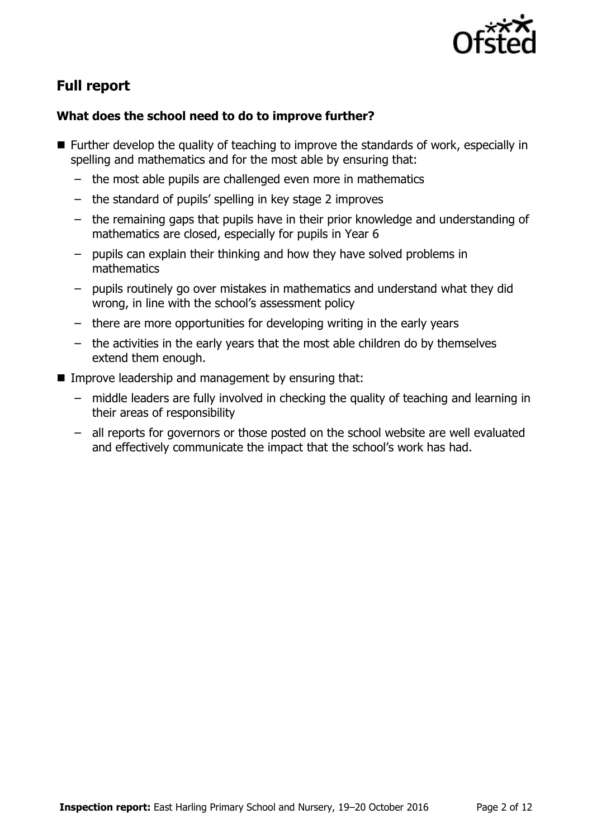

# **Full report**

### **What does the school need to do to improve further?**

- **Further develop the quality of teaching to improve the standards of work, especially in** spelling and mathematics and for the most able by ensuring that:
	- the most able pupils are challenged even more in mathematics
	- the standard of pupils' spelling in key stage 2 improves
	- the remaining gaps that pupils have in their prior knowledge and understanding of mathematics are closed, especially for pupils in Year 6
	- pupils can explain their thinking and how they have solved problems in mathematics
	- pupils routinely go over mistakes in mathematics and understand what they did wrong, in line with the school's assessment policy
	- there are more opportunities for developing writing in the early years
	- the activities in the early years that the most able children do by themselves extend them enough.
- **IMPROVE LEADERSHIP and management by ensuring that:** 
	- middle leaders are fully involved in checking the quality of teaching and learning in their areas of responsibility
	- all reports for governors or those posted on the school website are well evaluated and effectively communicate the impact that the school's work has had.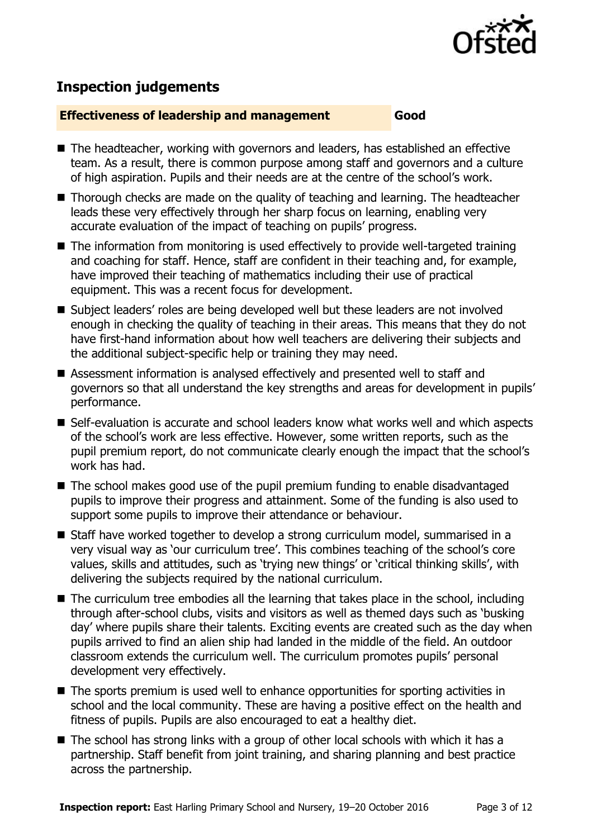

# **Inspection judgements**

#### **Effectiveness of leadership and management Good**

- The headteacher, working with governors and leaders, has established an effective team. As a result, there is common purpose among staff and governors and a culture of high aspiration. Pupils and their needs are at the centre of the school's work.
- Thorough checks are made on the quality of teaching and learning. The headteacher leads these very effectively through her sharp focus on learning, enabling very accurate evaluation of the impact of teaching on pupils' progress.
- The information from monitoring is used effectively to provide well-targeted training and coaching for staff. Hence, staff are confident in their teaching and, for example, have improved their teaching of mathematics including their use of practical equipment. This was a recent focus for development.
- Subject leaders' roles are being developed well but these leaders are not involved enough in checking the quality of teaching in their areas. This means that they do not have first-hand information about how well teachers are delivering their subjects and the additional subject-specific help or training they may need.
- Assessment information is analysed effectively and presented well to staff and governors so that all understand the key strengths and areas for development in pupils' performance.
- Self-evaluation is accurate and school leaders know what works well and which aspects of the school's work are less effective. However, some written reports, such as the pupil premium report, do not communicate clearly enough the impact that the school's work has had.
- The school makes good use of the pupil premium funding to enable disadvantaged pupils to improve their progress and attainment. Some of the funding is also used to support some pupils to improve their attendance or behaviour.
- Staff have worked together to develop a strong curriculum model, summarised in a very visual way as 'our curriculum tree'. This combines teaching of the school's core values, skills and attitudes, such as 'trying new things' or 'critical thinking skills', with delivering the subjects required by the national curriculum.
- The curriculum tree embodies all the learning that takes place in the school, including through after-school clubs, visits and visitors as well as themed days such as 'busking day' where pupils share their talents. Exciting events are created such as the day when pupils arrived to find an alien ship had landed in the middle of the field. An outdoor classroom extends the curriculum well. The curriculum promotes pupils' personal development very effectively.
- The sports premium is used well to enhance opportunities for sporting activities in school and the local community. These are having a positive effect on the health and fitness of pupils. Pupils are also encouraged to eat a healthy diet.
- The school has strong links with a group of other local schools with which it has a partnership. Staff benefit from joint training, and sharing planning and best practice across the partnership.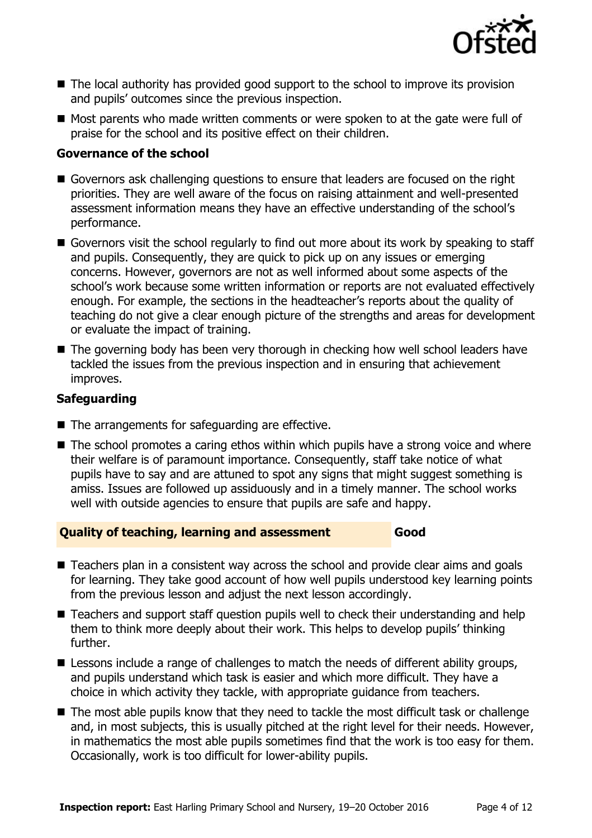

- The local authority has provided good support to the school to improve its provision and pupils' outcomes since the previous inspection.
- Most parents who made written comments or were spoken to at the gate were full of praise for the school and its positive effect on their children.

#### **Governance of the school**

- Governors ask challenging questions to ensure that leaders are focused on the right priorities. They are well aware of the focus on raising attainment and well-presented assessment information means they have an effective understanding of the school's performance.
- Governors visit the school regularly to find out more about its work by speaking to staff and pupils. Consequently, they are quick to pick up on any issues or emerging concerns. However, governors are not as well informed about some aspects of the school's work because some written information or reports are not evaluated effectively enough. For example, the sections in the headteacher's reports about the quality of teaching do not give a clear enough picture of the strengths and areas for development or evaluate the impact of training.
- The governing body has been very thorough in checking how well school leaders have tackled the issues from the previous inspection and in ensuring that achievement improves.

#### **Safeguarding**

- The arrangements for safeguarding are effective.
- The school promotes a caring ethos within which pupils have a strong voice and where their welfare is of paramount importance. Consequently, staff take notice of what pupils have to say and are attuned to spot any signs that might suggest something is amiss. Issues are followed up assiduously and in a timely manner. The school works well with outside agencies to ensure that pupils are safe and happy.

#### **Quality of teaching, learning and assessment Good**

- Teachers plan in a consistent way across the school and provide clear aims and goals for learning. They take good account of how well pupils understood key learning points from the previous lesson and adjust the next lesson accordingly.
- Teachers and support staff question pupils well to check their understanding and help them to think more deeply about their work. This helps to develop pupils' thinking further.
- **E** Lessons include a range of challenges to match the needs of different ability groups, and pupils understand which task is easier and which more difficult. They have a choice in which activity they tackle, with appropriate guidance from teachers.
- The most able pupils know that they need to tackle the most difficult task or challenge and, in most subjects, this is usually pitched at the right level for their needs. However, in mathematics the most able pupils sometimes find that the work is too easy for them. Occasionally, work is too difficult for lower-ability pupils.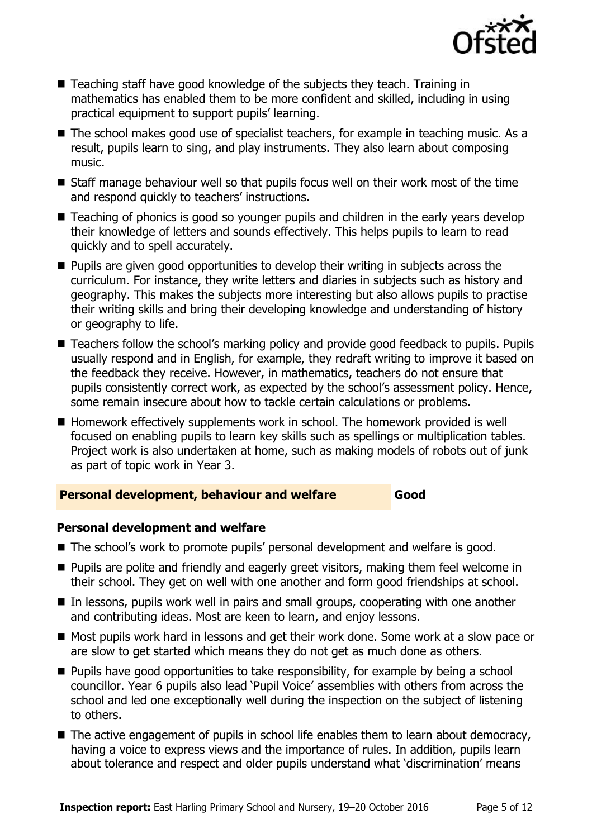

- Teaching staff have good knowledge of the subjects they teach. Training in mathematics has enabled them to be more confident and skilled, including in using practical equipment to support pupils' learning.
- The school makes good use of specialist teachers, for example in teaching music. As a result, pupils learn to sing, and play instruments. They also learn about composing music.
- $\blacksquare$  Staff manage behaviour well so that pupils focus well on their work most of the time and respond quickly to teachers' instructions.
- Teaching of phonics is good so younger pupils and children in the early years develop their knowledge of letters and sounds effectively. This helps pupils to learn to read quickly and to spell accurately.
- **Pupils are given good opportunities to develop their writing in subjects across the** curriculum. For instance, they write letters and diaries in subjects such as history and geography. This makes the subjects more interesting but also allows pupils to practise their writing skills and bring their developing knowledge and understanding of history or geography to life.
- Teachers follow the school's marking policy and provide good feedback to pupils. Pupils usually respond and in English, for example, they redraft writing to improve it based on the feedback they receive. However, in mathematics, teachers do not ensure that pupils consistently correct work, as expected by the school's assessment policy. Hence, some remain insecure about how to tackle certain calculations or problems.
- Homework effectively supplements work in school. The homework provided is well focused on enabling pupils to learn key skills such as spellings or multiplication tables. Project work is also undertaken at home, such as making models of robots out of junk as part of topic work in Year 3.

#### **Personal development, behaviour and welfare Good**

#### **Personal development and welfare**

- The school's work to promote pupils' personal development and welfare is good.
- **Pupils are polite and friendly and eagerly greet visitors, making them feel welcome in** their school. They get on well with one another and form good friendships at school.
- In lessons, pupils work well in pairs and small groups, cooperating with one another and contributing ideas. Most are keen to learn, and enjoy lessons.
- Most pupils work hard in lessons and get their work done. Some work at a slow pace or are slow to get started which means they do not get as much done as others.
- **Pupils have good opportunities to take responsibility, for example by being a school** councillor. Year 6 pupils also lead 'Pupil Voice' assemblies with others from across the school and led one exceptionally well during the inspection on the subject of listening to others.
- The active engagement of pupils in school life enables them to learn about democracy, having a voice to express views and the importance of rules. In addition, pupils learn about tolerance and respect and older pupils understand what 'discrimination' means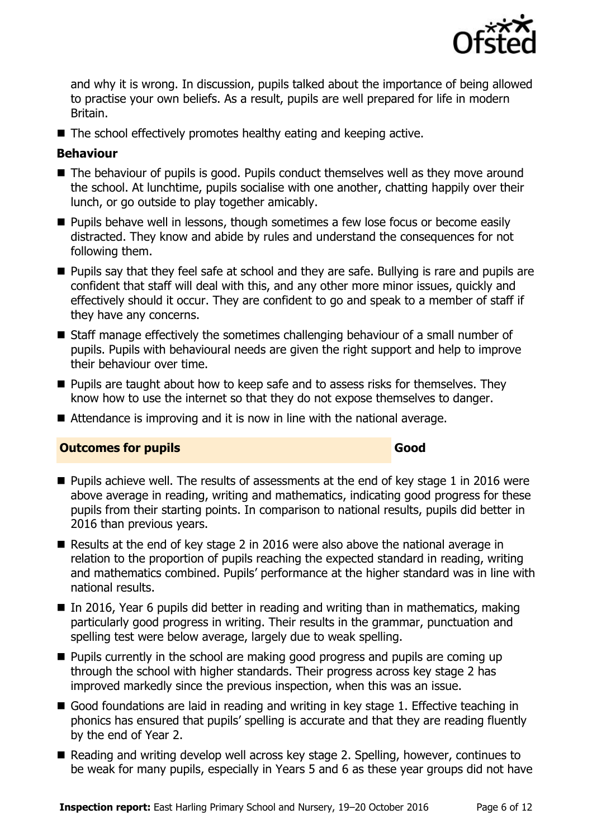

and why it is wrong. In discussion, pupils talked about the importance of being allowed to practise your own beliefs. As a result, pupils are well prepared for life in modern Britain.

■ The school effectively promotes healthy eating and keeping active.

#### **Behaviour**

- The behaviour of pupils is good. Pupils conduct themselves well as they move around the school. At lunchtime, pupils socialise with one another, chatting happily over their lunch, or go outside to play together amicably.
- $\blacksquare$  Pupils behave well in lessons, though sometimes a few lose focus or become easily distracted. They know and abide by rules and understand the consequences for not following them.
- **Pupils say that they feel safe at school and they are safe. Bullying is rare and pupils are** confident that staff will deal with this, and any other more minor issues, quickly and effectively should it occur. They are confident to go and speak to a member of staff if they have any concerns.
- Staff manage effectively the sometimes challenging behaviour of a small number of pupils. Pupils with behavioural needs are given the right support and help to improve their behaviour over time.
- $\blacksquare$  Pupils are taught about how to keep safe and to assess risks for themselves. They know how to use the internet so that they do not expose themselves to danger.
- Attendance is improving and it is now in line with the national average.

#### **Outcomes for pupils Good Good**

- Pupils achieve well. The results of assessments at the end of key stage 1 in 2016 were above average in reading, writing and mathematics, indicating good progress for these pupils from their starting points. In comparison to national results, pupils did better in 2016 than previous years.
- Results at the end of key stage 2 in 2016 were also above the national average in relation to the proportion of pupils reaching the expected standard in reading, writing and mathematics combined. Pupils' performance at the higher standard was in line with national results.
- In 2016, Year 6 pupils did better in reading and writing than in mathematics, making particularly good progress in writing. Their results in the grammar, punctuation and spelling test were below average, largely due to weak spelling.
- $\blacksquare$  Pupils currently in the school are making good progress and pupils are coming up through the school with higher standards. Their progress across key stage 2 has improved markedly since the previous inspection, when this was an issue.
- Good foundations are laid in reading and writing in key stage 1. Effective teaching in phonics has ensured that pupils' spelling is accurate and that they are reading fluently by the end of Year 2.
- Reading and writing develop well across key stage 2. Spelling, however, continues to be weak for many pupils, especially in Years 5 and 6 as these year groups did not have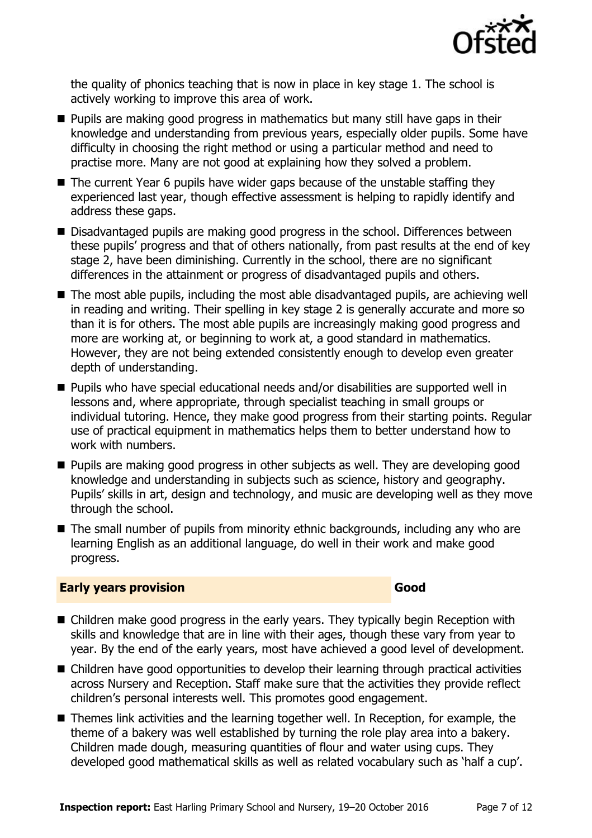

the quality of phonics teaching that is now in place in key stage 1. The school is actively working to improve this area of work.

- **Pupils are making good progress in mathematics but many still have gaps in their** knowledge and understanding from previous years, especially older pupils. Some have difficulty in choosing the right method or using a particular method and need to practise more. Many are not good at explaining how they solved a problem.
- The current Year 6 pupils have wider gaps because of the unstable staffing they experienced last year, though effective assessment is helping to rapidly identify and address these gaps.
- Disadvantaged pupils are making good progress in the school. Differences between these pupils' progress and that of others nationally, from past results at the end of key stage 2, have been diminishing. Currently in the school, there are no significant differences in the attainment or progress of disadvantaged pupils and others.
- The most able pupils, including the most able disadvantaged pupils, are achieving well in reading and writing. Their spelling in key stage 2 is generally accurate and more so than it is for others. The most able pupils are increasingly making good progress and more are working at, or beginning to work at, a good standard in mathematics. However, they are not being extended consistently enough to develop even greater depth of understanding.
- Pupils who have special educational needs and/or disabilities are supported well in lessons and, where appropriate, through specialist teaching in small groups or individual tutoring. Hence, they make good progress from their starting points. Regular use of practical equipment in mathematics helps them to better understand how to work with numbers.
- **Pupils are making good progress in other subjects as well. They are developing good** knowledge and understanding in subjects such as science, history and geography. Pupils' skills in art, design and technology, and music are developing well as they move through the school.
- The small number of pupils from minority ethnic backgrounds, including any who are learning English as an additional language, do well in their work and make good progress.

#### **Early years provision Good Good**

- Children make good progress in the early years. They typically begin Reception with skills and knowledge that are in line with their ages, though these vary from year to year. By the end of the early years, most have achieved a good level of development.
- Children have good opportunities to develop their learning through practical activities across Nursery and Reception. Staff make sure that the activities they provide reflect children's personal interests well. This promotes good engagement.
- Themes link activities and the learning together well. In Reception, for example, the theme of a bakery was well established by turning the role play area into a bakery. Children made dough, measuring quantities of flour and water using cups. They developed good mathematical skills as well as related vocabulary such as 'half a cup'.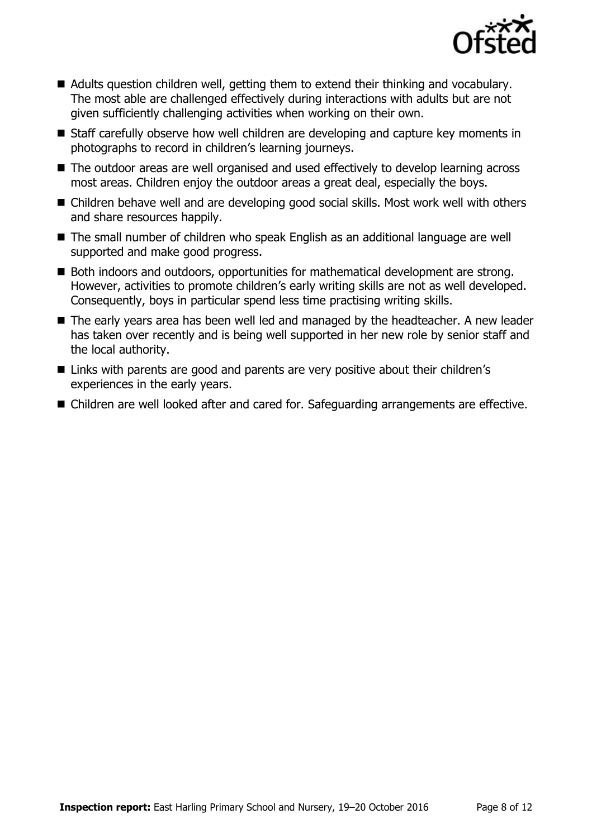

- Adults question children well, getting them to extend their thinking and vocabulary. The most able are challenged effectively during interactions with adults but are not given sufficiently challenging activities when working on their own.
- Staff carefully observe how well children are developing and capture key moments in photographs to record in children's learning journeys.
- The outdoor areas are well organised and used effectively to develop learning across most areas. Children enjoy the outdoor areas a great deal, especially the boys.
- Children behave well and are developing good social skills. Most work well with others and share resources happily.
- The small number of children who speak English as an additional language are well supported and make good progress.
- Both indoors and outdoors, opportunities for mathematical development are strong. However, activities to promote children's early writing skills are not as well developed. Consequently, boys in particular spend less time practising writing skills.
- The early years area has been well led and managed by the headteacher. A new leader has taken over recently and is being well supported in her new role by senior staff and the local authority.
- Links with parents are good and parents are very positive about their children's experiences in the early years.
- Children are well looked after and cared for. Safeguarding arrangements are effective.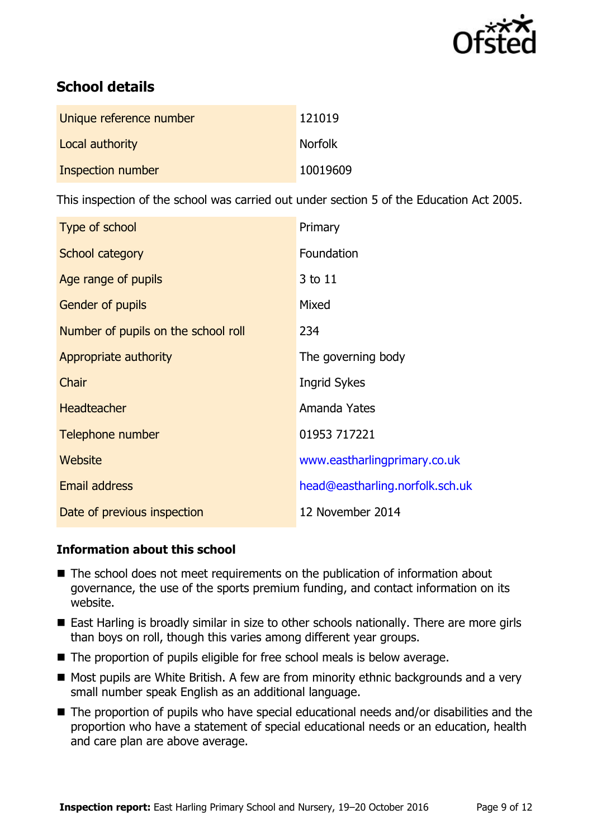

# **School details**

| Unique reference number | 121019         |
|-------------------------|----------------|
| Local authority         | <b>Norfolk</b> |
| Inspection number       | 10019609       |

This inspection of the school was carried out under section 5 of the Education Act 2005.

| Type of school                      | Primary                         |
|-------------------------------------|---------------------------------|
| School category                     | Foundation                      |
| Age range of pupils                 | 3 to 11                         |
| <b>Gender of pupils</b>             | Mixed                           |
| Number of pupils on the school roll | 234                             |
| Appropriate authority               | The governing body              |
| Chair                               | <b>Ingrid Sykes</b>             |
| <b>Headteacher</b>                  | Amanda Yates                    |
| Telephone number                    | 01953 717221                    |
| <b>Website</b>                      | www.eastharlingprimary.co.uk    |
| <b>Email address</b>                | head@eastharling.norfolk.sch.uk |
| Date of previous inspection         | 12 November 2014                |

#### **Information about this school**

- The school does not meet requirements on the publication of information about governance, the use of the sports premium funding, and contact information on its website.
- East Harling is broadly similar in size to other schools nationally. There are more girls than boys on roll, though this varies among different year groups.
- $\blacksquare$  The proportion of pupils eligible for free school meals is below average.
- $\blacksquare$  Most pupils are White British. A few are from minority ethnic backgrounds and a very small number speak English as an additional language.
- The proportion of pupils who have special educational needs and/or disabilities and the proportion who have a statement of special educational needs or an education, health and care plan are above average.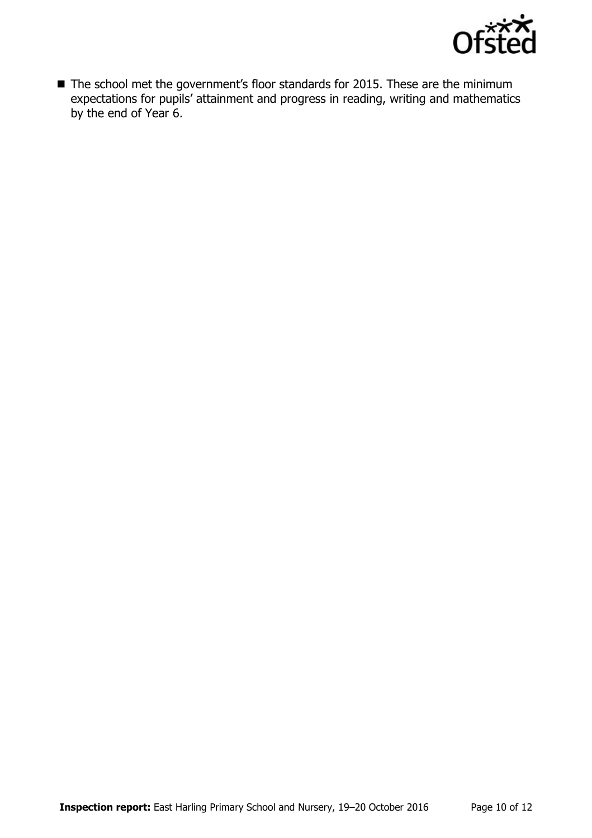

■ The school met the government's floor standards for 2015. These are the minimum expectations for pupils' attainment and progress in reading, writing and mathematics by the end of Year 6.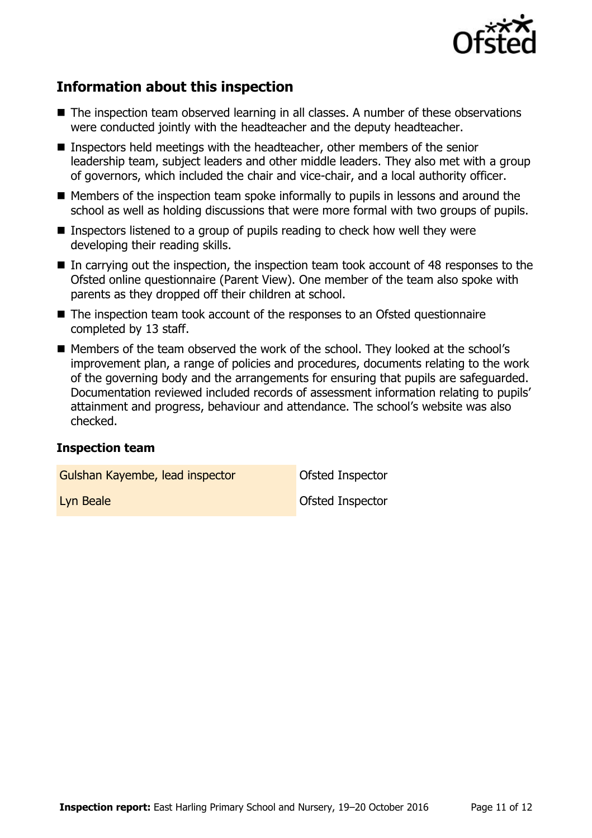

# **Information about this inspection**

- The inspection team observed learning in all classes. A number of these observations were conducted jointly with the headteacher and the deputy headteacher.
- **Inspectors held meetings with the headteacher, other members of the senior** leadership team, subject leaders and other middle leaders. They also met with a group of governors, which included the chair and vice-chair, and a local authority officer.
- **Members of the inspection team spoke informally to pupils in lessons and around the** school as well as holding discussions that were more formal with two groups of pupils.
- **Inspectors listened to a group of pupils reading to check how well they were** developing their reading skills.
- In carrying out the inspection, the inspection team took account of 48 responses to the Ofsted online questionnaire (Parent View). One member of the team also spoke with parents as they dropped off their children at school.
- The inspection team took account of the responses to an Ofsted questionnaire completed by 13 staff.
- Members of the team observed the work of the school. They looked at the school's improvement plan, a range of policies and procedures, documents relating to the work of the governing body and the arrangements for ensuring that pupils are safeguarded. Documentation reviewed included records of assessment information relating to pupils' attainment and progress, behaviour and attendance. The school's website was also checked.

#### **Inspection team**

Gulshan Kayembe, lead inspector **Cault Constant** Ofsted Inspector

**Lyn Beale Contract Contract Contract Contract Contract Contract Contract Contract Contract Contract Contract Contract Contract Contract Contract Contract Contract Contract Contract Contract Contract Contract Contract Co**